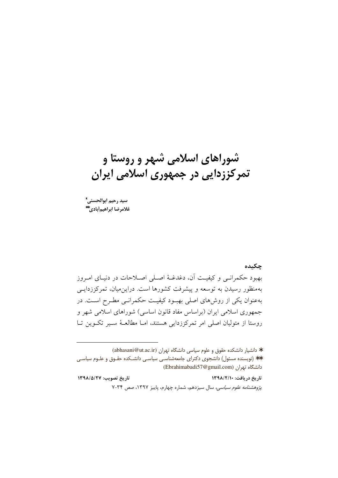# شوراهای اسلامی شهر و روستا و تمرکززدایی در جمهوری اسلامی ایران

سيد رحيم ابوالحسني\* غلامرضا ابراهيمأبادي."

حكىدە

بهبود حکمرانبی و کیفیت آن، دغدغـهٔ اصـلی اصـلاحات در دنیـای امـروز بهمنظور رسیدن به توسعه و پیشرفت کشورها است. دراین میان، تمرکززدایـبی بهعنوان یکی از روشهای اصلی بهبود کیفیت حکمرانبی مطرح است. در جمهوری اسلامی ایران (براساس مفاد قانون اساسی) شوراهای اسلامی شهر و روستا از متولیان اصلی امر تمرکززدایی هستند، امــا مطالعــهٔ ســیر تکــوین تــا

\* دانشیار دانشکده حقوق و علوم سیاسی دانشگاه تهران (abhasani@ut.ac.ir) \*\* (نویسنده مسئول) دانشجوی دکترای جامعهشناسی سیاسی دانشـکده حقـوق و علـوم سیاسـی (Ebrahimabadi57@gmail.com) دانشگاه تهران

تاريخ تصويب: ١٣٩٨/٥/٢٧ تاريخ دريافت: ١٣٩٨/٢/١٠ پژوهشنامه علوم سياسي، سال سيزدهم، شماره چهارم، پاييز ١٣٩٧، صص ٣٤-٧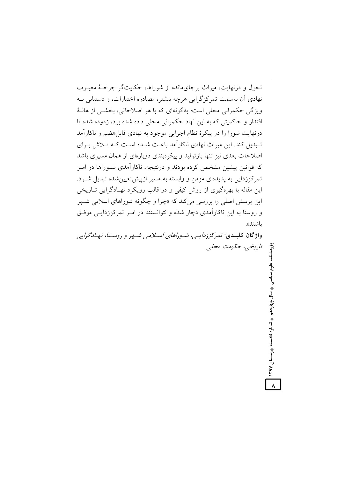تحول و درنهایت، میراث برجای مانده از شوراها، حکایتگر چرخـهٔ معیـوب نهادی آن بهسمت تمرکزگرایی هرچه بیشتر، مصادره اختیارات، و دستیابی بــه ویژگی حکمرانی محلی است؛ بهگونهای که با هر اصلاحاتی، بخشبی از هالـهٔ اقتدار و حاکمتے که به این نهاد حکمرانی محلی داده شده بود، زدوده شده تا درنهایت شورا را در پیکرهٔ نظام اجرایی موجود به نهادی قابل هضم و ناکارآمد تـبدیل کند. این میراث نهادی ناکار آمد باعـث شـده اسـت کــه تــلاش بــرای اصلاحات بعدی نیز تنها بازتولید و پیکرهبندی دوبارهای از همان مسیری باشد که قوانین پیشین مشخص کرده بودند و درنتیجه، ناکارآمدی شـوراها در امـر تمرکززدایی به پدیدهای مزمن و وابسته به مسیر ازییش تعیین شده تبدیل شـود. این مقاله با بهرهگیری از روش کیفی و در قالب رویکرد نهـادگرایی تــاریخی این پرسش اصلی را بررسی میکند که «چرا و چگونه شوراهای اسلامی شـهر و روستا به این ناکارآمدی دچار شده و نتوانستند در امـر تمرکززدایـی موفـق ىاشىند».

واژگان کلیــدی: تمرکززد/یــی، شـور/های اسـلامی شــهر و روسـتا، نهـادگرایی تاریخی، حکومت محلبی

سال چهاردهم ♦ شماره نخست ♦زمستان ۱۳۹۷

 $\lambda$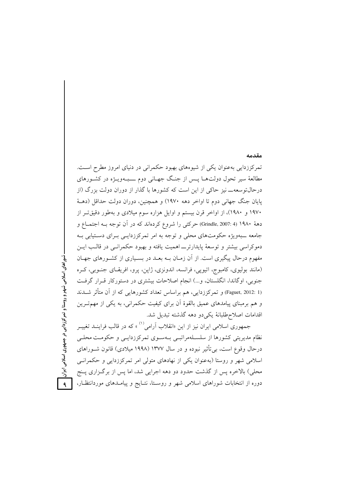### مقدمه

تمرکززدایی بهعنوان یکی از شیوههای بهبود حکمرانی در دنیای امروز مطرح است. مطالعهٔ سیر تحول دولتهـا پــس از جنـگ جهـانی دوم ــــبــهویــژه در کشــورهای درحالتوسعه\_ نیز حاکی از این است که کشورها با گذار از دوران دولت بزرگ (از يايان جنگ جهاني دوم تا اواخر دهه ١٩٧٠) و همچنين، دوران دولت حداقل (دهــهٔ ۱۹۷۰ و ۱۹۸۰)، از اواخر قرن بیستم و اوایل هزاره سوم میلادی و بهطور دقیقتر از دههٔ ۱۹۸۰ (Grindle, 2007: 4) حرکتی را شروع کردهاند که در آن توجه بـه اجتمـاع و جامعه ـبهویژه حکومتهای محلی و توجه به امر تمرکززدایـی بـرای دسـتیابی بـه دموکراسی بیشتر و توسعهٔ پایدارتر اهمیت یافته و بهبود حکمرانـی در قالـب ایــن مفهوم درحال پیگیری است. از آن زمـان بــه بعــد در بســیاری از کشــورهای جهــان (مانند بوليوي، كامبوج، اتيويي، فرانسه، اندونزي، ژاپن، پرو، افريقياي جنبوبي، كبره جنوبی، اوگاندا، انگلستان، و...) انجام اصلاحات بیشتری در دستورکار قـرار گرفـت (Faguet, 2012: 1) و تمرکززدایی، هم براساس تعداد کشورهایی که از آن متأثر شــدند و هم برمبنای پیامدهای عمیق بالقوهٔ آن برای کیفیت حکمرانی، به یکی از مهمتـرین اقدامات اصلاح طلبانهٔ یکی دو دهه گذشته تبدیل شد.

جمهوری اسلامی ایران نیز از این «انقلاب آرامی<sup>(۱)</sup> که در قالب فراینــد تغییــر نظام مدیریتی کشورها از سلسـلهمراتبـی بـهسـوی تمرکززدایـی و حکومـت محلـی درحال وقوع است، بی تأثیر نبوده و در سال ۱۳۷۷ (۱۹۹۸ میلادی) قانون شـوراهای اسلامی شهر و روستا (بهعنوان یکی از نهادهای متولی امر تمرکززدایی و حکمرانبی محلی) بالاخره پس از گذشت حدود دو دهه اجرایی شد، اما پس از برگـزاری پــنج دوره از انتخابات شوراهای اسلامی شهر و روستا، نتـایج و پیامـدهای موردانتظـار،

شوراهای اسلامی شهر و روستا و تمرکززدایی در جمهوری اسلامی ایران  $\overline{9}$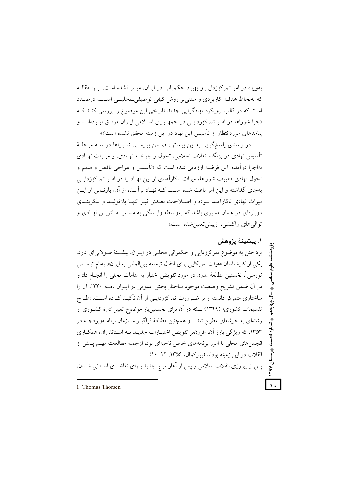پهويژه در امر تمرکززدايي و پهبود حکمراني در ايران، ميسر نشده است. ايـن مقالـه که بهلحاظ هدف، کاربردی و مبتنی بر روش کیفی توصیفی تحلیلـی اسـت، درصـدد است که در قالب رویکرد نهادگرایی جدید تاریخی این موضوع را بررسی کنــد کــه «چرا شوراها در امیر تمرکززدایے در جمهوری اسپلامی ایبران موفتی نیودهانید و پیامدهای موردانتظار از تأسیس این نهاد در این زمینه محقق نشده است؟»

در راستای پاسخگویی به این پرسش، ضـمن بررسـی شـوراها در سـه مرحلـهٔ تأسیس نهادی در بزنگاه انقلاب اسلامی، تحول و چرخــه نهــادی، و میــراث نهــادی بهاجرا درآمده، این فرضیه ارزیابی شده است که «تأسیس و طراحی ناقص و مبهم و تحول نهادی معیوب شوراها، میراث ناکارآمدی از این نهـاد را در امـر تمرکززدایـی بهجای گذاشته و این امر باعث شده است کـه نهـاد بر آمـده از آن، بازتـابی از ایـن میراث نهادی ناکارآمـد بـوده و اصـلاحات بعـدی نیـز تنهـا بازتولیـد و پیکربنـدی دوبارهای در همان مسیری باشد که بهواسطه وابستگی به مسـیر، مـاتریس نهـادی و توالي هاي واكنشي، ازييش تعبين شده است».

# ١. پيشينهٔ پژوهش

 $\lambda$ 

پرداختن به موضوع تمرکززدایی و حکمرانی محلبی در ایـران، پیشـینهٔ طـولانی|ی دارد. یکی از کارشناسان «هیئت امریکایی برای انتقال توسعه بین|لمللی به ایران»، بهنام تومـاس تورسن ْ، نخستين مطالعهٔ مدون در مورد تفويض اختيار به مقامات محلي را انجــام داد و در آن ضمن تشريح وضعيت موجود ساختار بخش عمومي در ايـران دهــه ١٣٣٠، آن را ساختاری متمرکز دانسته و بر ضـرورت تمرکززدایـی از آن تأکیــد کـرده اسـت. «طـرح تقسیمات کشوری» (۱۳۴۹) که در آن برای نخستینبار موضوع تغییر ادارهٔ کشـوری از رشتهای به خوشهای مطرح شد\_ و همچنین مطالعهٔ فراگیـر سـازمان برنامــهوبودجــه در ۱۳۵۳، که ویژگی بارز آن، افزون بر تفویض اختیـارات جدیــد بــه اســتانداران، همکــاری انجمنهای محلی با امور برنامههای خاص ناحیهای بود، ازجمله مطالعات مهــم پـیش از انقلاب در این زمینه بودند (یورکمال، ۱۳۵۶: ۱۲-۱۰). پس از پیروزی انقلاب اسلامی و پس از آغاز موج جدید بـرای تقاضـای اسـتانی شــدن،

<sup>1.</sup> Thomas Thorsen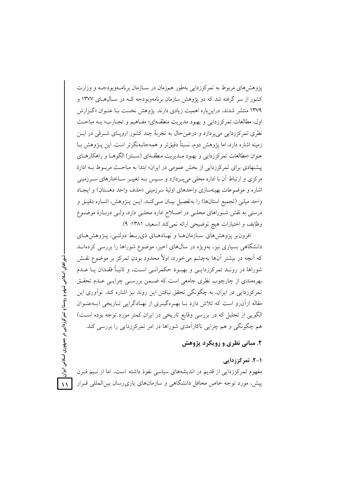پژوهش های مربوط به تمرکززدایی بهطور همزمان در سـازمان برنامـهوبودجـه و وزارت کشور از سر گرفته شد که دو پژوهش سازمان برنامهوبودجه کـه در سـال۵حای ۱۳۷۷ و ۱۳۷۹ منتشر شدند، دراینباره اهمیت زیادی دارند. یژوهش نخست بـا عنـوان «گـزارش اول، مطالعات تمركززداي<sub>،</sub> و بهبود مديريت منطقـهاي؛ مفــاهيم و تجــارب» بــه مباحــث نظری تمرکززدایی می پردازد و درعین حال به تجربهٔ چند کشور اروپای شـرقی در ایــن زمینه اشاره دارد، اما پژوهش دوم، نسبتاً دقیقتر و همهجانبهنگرتر است. این پــژوهش بــا عنوان «مطالعات تمركززدايي و بهبود مـديريت منطقـهاي (سـنتز) الگوهـا و راهكارهـاي پیشنهادی برای تمرکززدایی از بخش عمومی در ایران» ابتدا به مباحث مربوط بـه ادارهٔ مرکزی و ارتباط آن با اداره محلی می پـردازد و سـیس بـه تغییـر سـاختارهای سـرزمینی اشاره و موضوعات بهینهسازی واحدهای اولیهٔ سرزمینی (حذف واحد دهستان) و ایجـاد واحد مياني (تجميع استانها) را بهتفصيل بيـان مـيكنـد. ايـن يـژوهش، اشـاره دقيـق و درستی به نقش شـوراهای محلـی در اصـلاح اداره محلـی دارد، ولـی دربـارهٔ موضـوع وظايف و اختيارات هيچ توضيحي ارائه نمي كند (سعيد، ١٣٨١: ٩).

افزون بر پژوهش های سازمان ها و نهادهای ذی ربط دولتبی، پژوهش های دانشگاهی بسیاری نیز، بهویژه در سال های اخیر، موضوع شوراها را بررسی کردهانــد که آنچه در بیشتر آنها بهچشم میخورد، اولاً محدود بودن تمرکز بر موضوع نقـش شوراها در رونـد تمرکززدایـی و بهبـود حکمرانـی اسـت، و ثانیـاً فقـدان یـا عـدم بهرهمندی از چارچوب نظری جامعی است که ضمن بررسبی چرایسی عـدم تحقـق تمرکززدایی در ایران، به چگونگی تحقق نیافتن این روند نیز اشاره کند. نوآوری این مقاله ازآن رو است که تلاش دارد بـا بهـرهگیـری از نهـادگرایی تـاریخی (بــهعنـوان الگویی از تحلیل که در بررسی وقایع تاریخی در ایران کمتر مورد توجه بوده است) هم چگونگی و هم چراپی ناکارآمدی شوراها در امر تمرکززدایی را بررسی کند.

شوراهای اسلامی شهر و روستا و تمرکززدایی در جمهوری اسلامی ایران

 $\lambda$ 

# ۲. مبانی نظری و رویکرد پژوهش

۱-۲. تمرکززدایی مفهوم تمرکززدایی از قدیم در اندیشههای سیاسی نفوذ داشته است، اما از نـیم قـرن پیش، مورد توجه خاص محافل دانشگاهی و سازمانهای یاری رسان بین المللی قـرار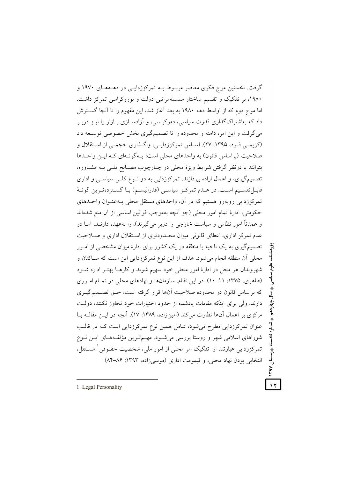گرفت. نخستین موج فکری معاصر مربوط بـه تمرکززدایـی در دهــههـای ۱۹۷۰ و ۱۹۸۰، بر تفکیک و تقسیم ساختار سلسلهمراتبی دولت و بوروکراسی تمرکز داشت. اما موج دوم که از اواسط دهه ۱۹۸۰ به بعد آغاز شد، این مفهوم را تا آنجا گســترش داد که بهاشتراکگذاری قدرت سیاسی، دموکراسی، و آزادســازی بــازار را نیــز دربــر می گرفت و این امر، دامنه و محدوده را تا تصمیمگیری بخش خصوصی توسـعه داد (کریمبی فرد، ۱۳۹۵: ۲۷). اساس تمرکززدایبی، واگذاری حجمبی از استقلال و صلاحیت (براساس قانون) به واحدهای محلی است؛ بـهگونـهای کـه ایـن واحـدها بتوانند با درنظر گرفتن شرایط ویژهٔ محلی در چـارچوب مصـالح ملـی بـه مشـاوره، تصمیمگیری، و اعمال اراده بیردازند. تمرکززدایی به دو نـوع کلـی سیاسـی و اداری قابـــل تقســيم اســت. در عــدم تمركــز سياســي (فدراليســم) بــا گســتر دهتــرين گونــهٔ تمرکززدایی روبهرو هستیم که در آن، واحدهای مستقل محلی بـهعنـوان واحــدهای حکومتی، ادارهٔ تمام امور محلی (جز آنچه بهموجب قوانین اساسی از آن منع شدهاند و عمدتاً امور نظامی و سیاست خارجی را دربر می گیرند)، را بهعهده دارنـد، امــا در عدم تمرکز اداری، اعطای قانونی میزان محدودتری از استقلال اداری و صلاحیت تصمیمگیری به یک ناحیه یا منطقه در یک کشور برای ادارهٔ میزان مشخصی از امـور محلي أن منطقه انجام مي شود. هدف از اين نوع تمركززدايي اين است كه سـاكنان و شهروندان هر محل در ادارهٔ امور محلی خود سهیم شوند و کارهـا بهتـر اداره شـود (طاهری، ۱۳۷۵: ۱۱-۱۰). در این نظام، سازمانها و نهادهای محلی در تمـام امـوری که براساس قانون در محدوده صلاحیت آنها قرار گرفته است، حــق تصــمیمگیــری دارند، ولی برای اینکه مقامات یادشده از حدود اختیارات خود تجاوز نکنند، دولت مركزي بر اعمال آنها نظارت مي كند (امينزاده، ١٣٨٩: ١٧). آنچه در ايـن مقالـه بــا عنوان تمرکززدایی مطرح میشود، شامل همین نوع تمرکززدایی است کـه در قالـب شوراهای اسلامی شهر و روستا بررسی می شـود. مهـمترین مؤلفـههـای ایــن نـوع تمرکززدایی عبارتند از: تفکیک امر محلی از امور ملی، شخصیت حقــوقی ٰ مســتقل، انتخابي بودن نهاد محلي، و قيمومت اداري (موسى زاده، ١٣٩٣: ٨٤-٨۴).

1. Legal Personality

 $\lambda$ 

بلا<br>ولا

سال چهاردهم

ثىما,ه نخست

– رُمستان

I Kbal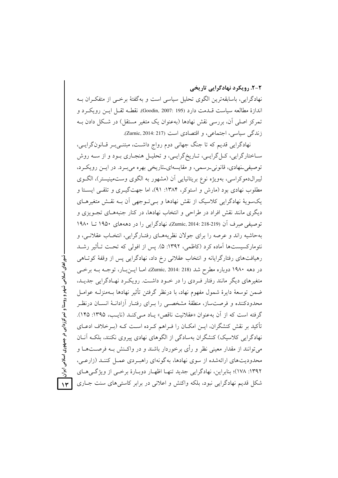۲-۲. رویکرد نهادگرایی تاریخی نهادگرایی، باسابقهترین الگوی تحلیل سیاسی است و بهگفتهٔ برخــی از متفکـران بــه

اندازهٔ مطالعه سیاست قــدمت دارد (Goodin, 2007: 195). نقطــه ثقــل ایــن رویکــرد و تمرکز اصلی آن، بررسی نقش نهادها (بهعنوان یک متغیر مستقل) در شکل دادن بـه زندگی سیاسی، اجتماعی، و اقتصادی است (Zurnic, 2014: 217).

نهادگرایی قدیم که تا جنگ جهانی دوم رواج داشت، مبتنـیبـر قـانونگرایـی، سـاختارگرايي، كـل گرايـي، تـاريخگرايـي، و تحليـل هنجـاري بـود و از سـه روش توصيفي نهادي، قانوني رسمي، و مقايسهاي تاريخي بهره مي بـرد. در ايـن رويكـرد، ليبرالدموكراسي، بهويژه نوع بريتانيايي أن (مشهور به الگوي وستمينيستر)، الگـوي مطلوب نهادي بود (مارش و استوكر، ۱۳۸۴: ۹۱)، اما جهت گيــري و تلقــي ايســتا و یکسویهٔ نهادگرایی کلاسیک از نقش نهادها و بےتوجهی آن بـه نقـش متغیرهـای دیگری مانند نقش افراد در طراحی و انتخاب نهادها، در کنار جنبههـای تجـویزی و توصيفي صرف آن (219-218 :2014 Zurnic, 2014)، نهادگرايي را در دهههاي ١٩٥٠ تــا ١٩٨٠ بهحاشیه راند و عرصه را برای جولان نظریههـای رفتـارگرایی، انتخـاب عقلانـی، و نئومارکسیستها آماده کرد (کاظمی، ۱۳۹۲: ۵). پس از افولی که تحت تـأثیر رشـد رهیافتهای رفتارگرایانه و انتخاب عقلانی رخ داد، نهادگرایی پس از وقفهٔ کوتاهی در دهه ۱۹۸۰ دوباره مطرح شد (Zurnic, 2014: 218)، امـا ايــنبــار، توجــه بــه برخــي متغیرهای دیگر مانند رفتار فـردی را در خـود داشـت. رویکـرد نهـادگرایی جدیـد، ضمن توسعهٔ دایرهٔ شمول مفهوم نهاد، با درنظر گرفتن تأثیر نهادها بـهمنزلـه عوامـل محدودکننده و فرصتساز، منطقهٔ مشخصـی را بـرای رفتـار آزادانـهٔ انسـان درنظـر گرفته است که از آن بهعنوان «عقلانیت ناقص» یـاد مـی کنـد (نایـب، ۱۳۹۵: ۱۴۵). تأکید بر نقش کنشگران، ایــن امکــان را فــراهـم کــرده اســت کــه (بــرخلاف ادعــای نهادگرایی کلاسیک) کنشگران بهسادگی از الگوهای نهادی پیروی نکنند، بلکـه آنــان میتوانند از مقدار معینی نظر و رأی برخوردار باشند و در واکـنش بــه فرصــتهــا و محدودیتهای ارائهشده از سوی نهادها، به گونهای راهب دی عمـل کننـد (زارعـی، ١٣٩٢: ١٧٨)؛ بنابراين، نهادگرايي جديد تنهـا اظهـار دوبـارهٔ برخـي از ويژگـيهـاي شکل قدیم نهادگرایی نبود، بلکه واکنش و اعلانی در برابر کاستی های سنت جــاری

شوراهای اسلامی شهر و روستا و تمرکززدایی در جمهوری اسلامی ایران

 $\mathcal{N}$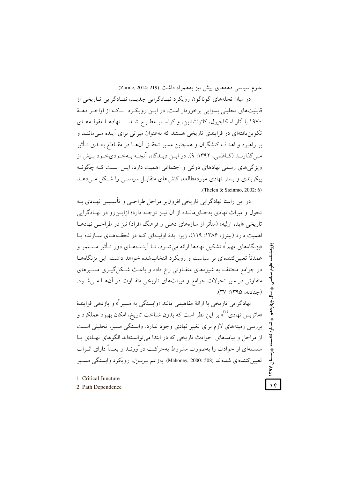علوم سیاسی دهههای پیش نیز بههمراه داشت (Zurnic, 2014: 219).

در میان نحلههای گوناگون رویکرد نهـادگرایی جدیــد، نهـادگرایی تـاریخی از قابلیتهای تحلیلی بسزایی برخوردار است. در ایــن رویکـرد ـــکـه از اواخـر دهــهٔ ۱۹۷۰ با آثار اسکاچپول، کاتزنشتاین، و کراسـنر مطـرح شــدـــــ نهادهــا مقولــههــای تکوین یافتهای در فرایندی تاریخی هستند که بهعنوان میراثی برای آینده مـیماننــد و بر راهبرد و اهداف کنشگران و همچنین مسیر تحقـق آنهــا در مقــاطع بعــدی تــأثیر مبي گذارنـد (كـاظمى، ١٣٩٢: ٩). در ايــن ديـدگاه، آنچــه بــهخـوديخـود بـيش از ویژگیهای رسمی نهادهای دولتی و اجتماعی اهمیت دارد، ایــن اســت کــه چگونــه پیکربندی و بستر نهادی موردمطالعه، کنش های متقابـل سیاســی را شــکل مــی(دهــد .(Thelen & Steinmo, 2002: 6)

در این راستا نهادگرایی تاریخی افزونٖبر مراحل طراحـی و تأسـیس نهـادی بــه تحول و میراث نهادی بهجـایمانـده از آن نیـز توجـه دارد؛ ازایــن(و در نهـادگرایی تاریخی «ایده اولیه» (متأثر از سازههای ذهنی و فرهنگ افراد) نیز در طراحبی نهادهــا اهمیت دارد (پیترز، ۱۳۸۶: ۱۱۹)، زیرا ایدهٔ اولیـهای کـه در لحظـههـای سـازنده یـا «بزنگاههای مهم<sup>"</sup>» تشکیل نهادها ارائه می شـود، تــا آینــدههــای دور تــأثیر مســتمر و عمدتاً تعیین کنندهای بر سیاست و رویکرد انتخاب شده خواهد داشت. این بزنگاههـا در جوامع مختلف به شیوههای متفـاوتی رخ داده و باعـث شـكل گیــری مسـیرهای متفاوتی در سیر تحولات جوامع و میراثهای تاریخی متفاوت در آنها میشود. (حنادله، ۱۳۹۵: ۳۷).

نهادگرایی تاریخی با ارائهٔ مفاهیمی مانند «وابستگی به مسیر <sup>۲</sup> و بازدهی فزایندهٔ «ماتریس نهادی<sup>٬۲)</sup> بر این نظر است که بدون شناخت تاریخ، امکان بهبود عملکرد و بررسی زمینههای لازم برای تغییر نهادی وجود ندارد. وابستگی مسیر، تحلیلی است از مراحل و پیامدهای حوادث تاریخی که در ابتدا می توانستهاند الگوهای نهادی یا سلسلهای از حوادث را بهصورت مشروط بهحرکت درآورنـد و بعـداً دارای اثـرات تعیین کنندهای شدهاند (508 :Mahoney, 2000). بهزعم *پیرسون*، رویکرد وابستگی مســیر

- 1. Critical Juncture
- 2. Path Dependence

 $\lambda$ ۴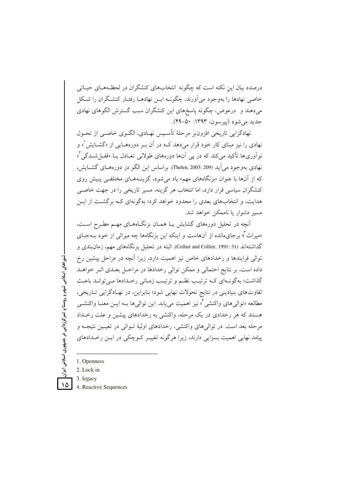درصدد بیان این نکته است که چگونه انتخابهای کنشگران در لحظـههـای حساتی خاصی نهادها را بهوجود می آورند، چگونــه ایــن نهادهــا رفتــار کنشــگران را شــکل میدهند و درعوض، چگونه پاسخهای این کنشگران سبب گسترش الگوهای نهادی جديد مي شود (پيرسون، ١٣٩٣: ٥٠-٤٩).

نهادگرایی تاریخی افزون بر مرحلهٔ تأسیس نهـادی، الگـوی خاصـی از تحـول نهادی را نیز مبنای کار خود قرار میدهد کــه در آن بــر دورههــایی از «گشــایش ْ» و نو اَوريها تأکيد مي کند که در يې اَنها دورههاي طولاني تعــادل يــا «قفــا شــدگي آ» نهادي بهوجود مي آيد (Thelen, 2003: 209). براساس اين الگو در دورههـاي گشــايش، که از آنها با عنوان «بزنگاههای مهم» یاد می شود، گزینـههـای مختلفـی پـیش روی کنشگران سیاسی قرار دارد، اما انتخاب هر گزینه، مسیر تاریخی را در جهت خاصبی هدایت، و انتخابهای بعدی را محدود خواهد کرد؛ بهگونهای کـه برگشـت از ایــن مسير دشوار يا ناممكن خواهد شد.

آنچه در تحلیل دورههای گشایش یـا همـان بزنگـاههـای مهـم مطـرح اسـت، «میراث ؓ » برجای.مانده از آنهاست و اینکه این بزنگاهها چه میراثی از خود بــهجــای گذاشتهاند (Collier and Collier, 1991: 31). البته در تحلیل بزنگاههای مهم، زمان بندی و توالی فرایندها و رخدادهای خاص نیز اهمیت دارد، زیرا آنچه در مراحل پیشین رخ داده است، بر نتایج احتمالی و ممکن توالی رخدادها در مراحـل بعـدی اثـر خواهـد گذاشت؛ به گونـهاي كـه ترتيـب نظـم و ترتيـب زمـاني رخـدادها مـي توانـد باعـث تفاوتهای بنیادینی در نتایج تحولات نهایی شود؛ بنابراین، در نهـادگرایی تــاریخی، مطالعه «توالي هاي واكنشي أ» نيز اهميت مي يابد. اين توالي ها بــه ايــن معنــا واكنشــي هستند که هر رخدادی در یک مرحله، واکنشی به رخدادهای پیشین و علت رخـداد مرحله بعد است. در توالی های واکنشی، رخدادهای اولیهٔ تبوالی در تعیین نتیجیه و پیامد نهایی اهمیت بسزایی دارند، زیرا هرگونه تغییـر کـوچکی در ایـن رخـدادهای

- 1. Openness
- 2. Lock in

شوراهای اسلامی شهر و روستا و تمرکززدایی در جمهوری اسلامی ایران

 $\Delta$ 

- 3. legacy
- 4. Reactive Sequences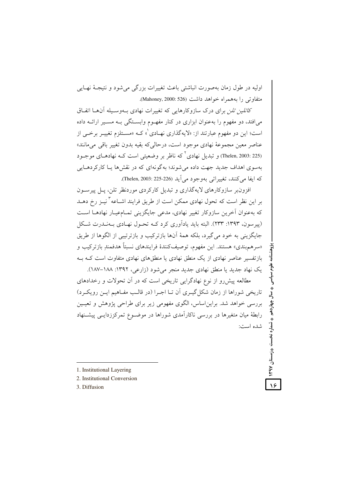اوليه در طول زمان پهصورت انباشتي باعث تغييرات پزرگي مي شود و نتيجيۀ نهيايي متفاوتی را بههمراه خواهد داشت (Mahoney, 2000: 526).

*کاتلین تلن* برای درک سازوکارهایی که تغییرات نهادی بـهوسـیله آنهـا اتفـاق می افتد، دو مفهوم را په عنوان ایزاری در کنار مفهـوم وابسـتگی پـه مسـبر ارائـه داده است؛ این دو مفهوم عبارتند از: «لایهگذاری نهـادی ْ» کــه «مسـتلزم تغییــر برخـــ از عناصر معين مجموعهٔ نهادي موجود است، درحالي که بقيه بدون تغيير باقي مي مانند» (Thelen, 2003: 225) و تبدیل نهادی<sup>۲</sup> که ناظر بر وضعیتی است کـه نهادهـای موجـود بهسوی اهداف جدید جهت داده می شوند؛ به گونهای که در نقشها یـا کارکردهـایی كه ايفا مي كنند، تغييراتي بهوجود مي آيد (226-225: Thelen, 2003).

افزون پر سازوکارهای لایهگذاری و تبدیل کارکردی موردنظر تلن، پیل پیرسون بر این نظر است که تحول نهادی ممکن است از طریق فرایند اشــاعه ّ نیــز رخ دهــد که بهعنوان آخرین سازوکار تغییر نهادی، مدعی جایگزینی تمـامعیـار نهادهـا اسـت (پېرسون، ۱۳۹۳: ۲۳۳). البته باید یادآوري کړد کپه تحیول نهبادي پیهنیدرت شکل جايگزيني به خود مي گيرد، بلكه همهٔ آنها بازتركيب و بازترتيبي از الگوها از طريق «سرهم بندي» هستند. اين مفهوم، توصيف كنندهٔ فرايندهاي نسبتاً هدفمند بازتركيب و باز تفسیر عناصر نهادی از یک منطق نهادی با منطق های نهادی متفاوت است کـه بـه یک نهاد جدید یا منطق نهادی جدید منجر می شود (زارعی، ۱۳۹۲: ۱۸۸–۱۸۷).

مطالعه پیش رو از نوع نهادگرایی تاریخی است که در آن تحولات و رخدادهای تاریخی شوراها از زمان شکل گیـری آن تـا اجـرا (در قالـب مفـاهیم ایـن رویکـرد) بررسی خواهد شد. براین اساس، الگوی مفهومی زیر برای طراحی پژوهش و تعیین رابطهٔ میان متغیرها در بررسی ناکارآمدی شوراها در موضـوع تمرکززدایـی پیشـنهاد شده است: علوم سياسى

◆ and charged when  $\bullet$  invertion ( charged when  $\bullet$ 

- 1. Institutional Layering
- 2. Institutional Conversion
- 3. Diffusion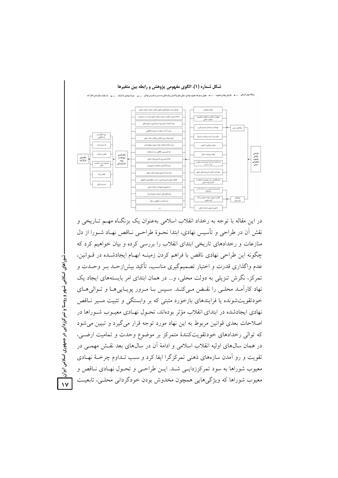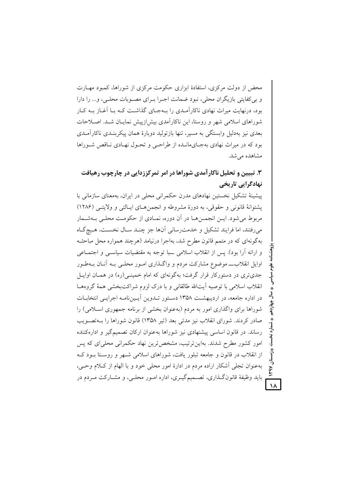محض از دولت مرکزی، استفادهٔ ابزاری حکومت مرکزی از شوراها، کمبود مهـارت و بی کفایتی بازیگران محلی، نبود ضمانت اجـرا بـرای مصـوبات محلـی، و… را دارا بود، درنهایت میراث نهادی ناکارآمـدی را بـهجـای گذاشـت کـه بـا آغـاز بـه کـار شوراهای اسلامی شهر و روستا، این ناکار آمدی بیش(زییش نماییان شید. اصلاحات بعدی نیز بهدلیل وابستگی به مسیر، تنها بازتولید دوبارهٔ همان پیکربنـدی ناکارآمـدی بود که در میراث نهادی بهجـایمانـده از طراحـی و تحـول نهـادی نـاقص شـوراها مشاهده می شد.

۳. تبیین و تحلیل ناکارآمدی شوراها در امر تمرکززدایی در چارچوب رهیافت نهادگرایی تاریخی

پیشینهٔ تشکیل نخستین نهادهای مدرن حکمرانی محلی در ایران، بهمعنای سازمانی با پشتوانهٔ قانونی و حقوقی، به دورهٔ مشروطه و انجمن های ایـالتی و ولایتـی (۱۲۸۶) مربوط می شود. ایــن انجمــنهــا در آن دوره، نمــادی از حکومـت محلــی بــهشــمار میرفتند، اما فرایند تشکیل و خدمت رسانی آنها جز چنـد سـال نخسـت، هـیچگـاه بهگونهای که در متمم قانون مطرح شد، بهاجرا درنیامد (هرچند همواره محل مباحثه و ارائه آرا بود). پس از انقلاب اسلامی ب ا توجه به مقتضیات سیاستی و اجتمـاعی اوایل انقلاب\_ موضوع مشارکت مردم و واگـذاری امـور محلـی بـه آنــان بــهطـور جدیتری در دستورکار قرار گرفت؛ بهگونهای که امام خمینـی(ره) در همـان اوایـل انقلاب اسلامی با توصیه آیتالله طالقانی و با درک لزوم شراکتبخشی همهٔ گروههـا در اداره جامعه، در اردیبهشت ۱۳۵۸ دستور تـدوین آیـیننامـه اجرایـی انتخابـات شوراها برای واگذاری امور به مردم (بهعنوان بخشی از برنامه جمهوری اسلامی) را صادر كردند. شوراي انقلاب نيز مدتبي بعد (تير ١٣۵٨) قانون شوراها را بــهتصــويب رساند. در قانون اساسی پیشنهادی نیز شوراها بهعنوان ارکان تصمیمگیر و ادارهکننده امور کشور مطرح شدند. بهاینترتیب، مشخص ترین نهاد حکمرانی محلیای که پس از انقلاب در قانون و جامعه تبلور یافت، شوراهای اسلامی شـهر و روسـتا بـود کـه بهعنوان تجلَّى أشكار اراده مردم در ادارهٔ امور محلَّى خود و با الهام از كـلام وحـَّى، باید وظیفهٔ قانونگـذاری، تصـمیمگیـری، اداره امـور محلـی، و مشـارکت مـردم در

 $\lambda$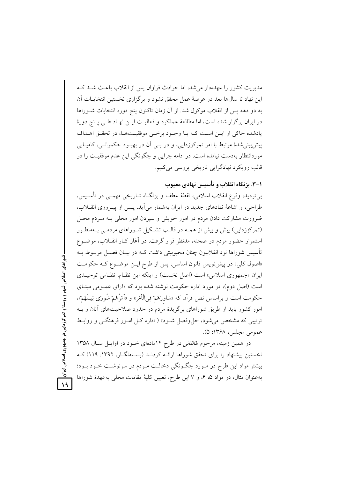مدیریت کشور را عهدهدار می شد، اما حوادث فراوان پس از انقلاب باعث شـد کـه این نهاد تا سال@ا بعد در عرصهٔ عمل محقق نشود و برگزاری نخستین انتخابـات آن به دو دهه پس از انقلاب موکول شد. از آن زمان تاکنون پنج دوره انتخابات شـوراها در ايران برگزار شده است، اما مطالعهٔ عملکرد و فعاليـت ايــن نهــاد طــي پــنج دورهٔ يادشده حاكي از ايـن اسـت كـه بـا وجـود برخـي موفقيـتهـا، در تحقـق اهـداف پیش بینی شدهٔ مرتبط با امر تمرکززدایی، و در پــی آن در بهبـود حکمرانــی، کامیــابی موردانتظار بهدست نیامده است. در ادامه چرایی و چگونگی این عدم موفقیـت را در قالب رویکرد نهادگرایی تاریخی بررسی میکنیم.

# ۰۱–۳. بزنگاه انقلاب و تأسیس نهادی معیوب

بي ترديد، وقوع انقلاب اسلامي، نقطهٔ عطف و بزنگـاه تــاريخي مهمــي در تأســيس، طراحی، و اشاعهٔ نهادهای جدید در ایران بهشمار می آید. پس از پیـروزی انقــلاب، ضرورت مشارکت دادن مردم در امور خویش و سپردن امور محلی بـه مـردم محـل (تمرکززدایی) پیش و بیش از همـه در قالـب تشـکیل شـوراهای مردمـی بـهمنظـور استمرار حضور مردم در صحنه، مدنظر قرار گرفت. در آغاز کـار انقــلاب، موضــوع تأسیس شوراها نزد انقلابیون چنان محبوبیتی داشت کـه در بیـان فصـل مربــوط بــه «اصول كلي» در پيشنويس قانون اساسي، پس از طرح ايـن موضـوع كـه حكومـت ایران «جمهوری اسلامی» است (اصل نخست) و اینکه این نظام، نظامی توحیـدی است (اصل دوم)، در مورد اداره حکومت نوشته شده بود که «آرای عمـومی مبنـای حکومت است و براساس نص قرأن که «شاورْهُمْ فِي الْأَمْرِ» و «أَمْرُهُمْ شُورَى بَيــنَهُمْ»، امور کشور باید از طریق شوراهای برگزیدهٔ مردم در حدود صلاحیتهای آنان و بـه ترتیبی که مشخص می شود، حل وفصل شـود» ( اداره کـل امـور فرهنگـی و روابـط عمومي مجلس، ۱۳۶۸: ۵).

در همین زمینه، مرحوم *طالقانی* در طرح ۱۴مادهای خـود در اوایـل سـال ۱۳۵۸ نخستین پیشنهاد را برای تحقق شوراها ارائـه کردنـد (بسـتهنگـار، ۱۳۹۲: ۱۱۹) کـه بیشتر مواد این طرح در مـورد چگـونگی دخالـت مـردم در سرنوشـت خـود بـود؛ به عنوان مثال، در مواد ۵، ۶، و ۷ این طرح، تعیین کلیهٔ مقامات محلی به عهدهٔ شوراها

شوراهای اسلامی شهر و روستا و تمرکز زدایی در جمهوری اسلامی ایران  $\sqrt{9}$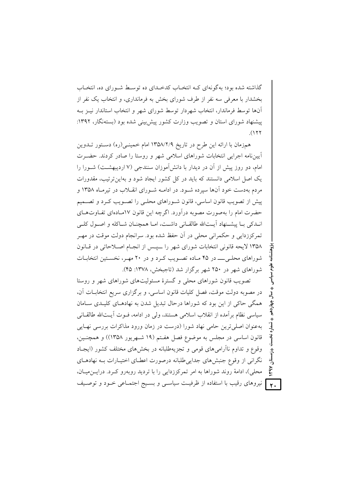گذاشته شده بود؛ به گونهای کـه انتخـاب کدخـدای ده توسـط شـورای ده، انتخـاب بخشدار با معرفی سه نفر از طرف شورای بخش به فرمانداری، و انتخاب یک نفر از آنها توسط فرماندار، انتخاب شهردار توسط شورای شهر و انتخاب استاندار نیـز بـه پیشنهاد شورای استان و تصویب وزارت کشور پیش بینی شده بود (بستهنگار، ۱۳۹۲:  $(177)$ 

همزمان با ارائه این طرح در تاریخ ۱۳۵۸/۲/۹ امام خمینهی(ره) دستور تـدوین اًیینِنامه اجرایی انتخابات شوراهای اسلامی شهر و روستا را صادر کردند. حضـرت امام، دو روز پیش از آن در دیدار با دانش آموزان سنندجی (۷ اردیبهشـت) شـورا را یک اصل اسلامی دانستند که باید در کل کشور ایجاد شود و بهاین ترتیب، مقدورات مردم بهدست خود آنها سیرده شـود. در ادامــه شـورای انقــلاب در تیرمــاه ۱۳۵۸ و پیش از تصویب قانون اساسی، قانون شـوراهای محلـی را تصـویب کـرد و تصــمیم حضرت امام را بهصورت مصوبه درآورد. اگرچه این قانون ۱۷مـادهای تفـاوتهـای انبدکی ببا پیشنهاد آیـتالله طالقـانی داشـت، امـا همچنـان شـاکله و اصـول کلـی تمرکززدایی و حکمرانی محلی در آن حفظ شده بود. سرانجام دولت موقت در مهـر ١٣٥٨ لايحه قانوني انتخابات شوراي شهر را ـيس از انجـام اصـلاحاتي در قـانون شوراهای محلبی ــــ در ۴۵ مـاده تصـویب کـرد و در ۲۰ مهـر، نخسـتین انتخابــات شوراهای شهر در ۲۵۰ شهر برگزار شد (تاجبخش، ۱۳۷۸: ۴۵).

تصویب قانون شوراهای محلی و گسترهٔ مسئولیتهای شوراهای شهر و روستا در مصوبه دولت موقت، فصل كليات قانون اساسي، و برگزاري سريع انتخابـات آن، همگی حاکی از این بود که شوراها درحال تبدیل شدن به نهادهـای کلیـدی سـامان سیاسی نظام بر آمده از انقلاب اسلامی هستند، ولی در ادامه، فــوت آیــتالله طالقــانی بهعنوان اصلي ترين حامي نهاد شورا (درست در زمان ورود مذاكرات بررسي نهـايي قانون اساسی در مجلس به موضوع فصل هفتم (۱۹ شهریور ۱۳۵۸)) و همچنـین، وقوع و تداوم ناآرامی های قومی و تجزیهطلبانه در بخشهای مختلف کشور (ایجباد نگرانی از وقوع جنبش های جدایی طلبانه درصورت اعطـای اختیـارات بـه نهادهـای محلي)، ادامهٔ روند شوراها به امر تمركززدايي را با ترديد روبهرو كـرد. درايـن ميـان، . و آنیروهای رقیب با استفاده از ظرفیـت سیاســی و بســیج اجتمــاعی خــود و توصــیف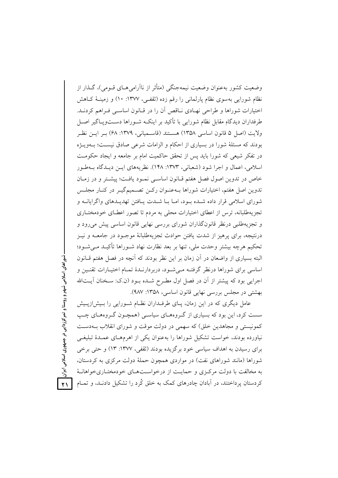وضعیت کشور بهعنوان وضعیت نیمهجنگی (متأثر از ناآرامی هـای قــومی)، گــذار از نظام شورایی بهسوی نظام یارلمانی را رقم زده (ثقفـی، ۱۳۷۷: ۱۰) و زمینـهٔ کـاهش اختیارات شوراها و طراحی نهـادی نـاقص آن را در قـانون اساسـی فـراهم کردنــد. طرفداران دیدگاهِ مقابل نظام شورایی با تأکید بر اینکـه شــوراها دســتویــاگیر اصــل ولايت (اصل ۵ قانون اساسي ۱۳۵۸) هســتند (قاســمياني، ۱۳۷۹: ۶۸) بــر ايــن نظــر بودند که مسئلهٔ شورا در بسیاری از احکام و الزامات شرعی صادق نیست؛ بـهویـژه در تفکر شیعی که شورا باید پس از تحقق حاکمیت امام بر جامعه و ایجاد حکومت اسلامی، اعمال و اجرا شود (شعبانی، ۱۳۷۳: ۱۴۸). نظریههای ایـن دیـدگاه بـهطـور خاص در تدوین اصول فصل هفتم قبانون اساسی نمبود یافت؛ پیشتر و در زمبان تدوین اصل هفتم، اختیارات شوراها بـهعنـوان رکــن تصــمیمگیــر در کنــار مجلــس شورای اسلامی قرار داده شـده بـود، امـا بـا شـدت پـافتن تهدیـدهای واگرایانــه و تجزیهطلبانه، ترس از اعطای اختیارات محلی به مردم تا تصور اعطـای خودمختـاری و تجزیهطلبی درنظر قانونگذاران شورای بررسی نهایی قانون اساسی پیش می رود و درنتیجه، برای پرهیز از شدت یافتن حوادث تجزیهطلبانهٔ موجـود در جامعــه و نیــز تحکیم هرچه بیشتر وحدت ملی، تنها بر بعد نظارت نهاد شـوراها تأکیـد مـی شـود؛ البته بسیاری از واضعان در آن زمان بر این نظر بودند که آنچه در فصل هفتم قــانون اساسی برای شوراها درنظر گرفتـه مـی شـود، دربردارنـدهٔ تمـام اختیـارات تقنـین و اجرایی بود که پیشتر از آن در فصل اول مطـرح شــده بــود (ن.ک: ســخنان آیـــتالله بهشتی در مجلس بررسی نهایی قانون اساسی، ۱۳۵۸: ۹۸۷).

عامل دیگری که در این زمان، پـای طرفـداران نظـام شـورایی را بـیش|زپـیش سست کرد، این بود که بسیاری از گـروههـای سیاسـی (همچـون گـروههـای چـب کمونیستی و مجاهدین خلق) که سهمی در دولت موقت و شورای انقلاب بیهدست نیاورده بودند، خواست تشکیل شوراها را بهعنوان یکی از اهرمهـای عمـدهٔ تبلیغـی برای رسیدن به اهداف سیاسی خود برگزیده بودند (ثقفی، ۱۳۷۷: ۱۳) و حتی برخی شوراها (مانند شوراهای نفت) در مواردی همچون حملهٔ دولت مرکزی به کردستان، به مخالفت با دولت مركزى و حمايت از درخواست هاى خودمختـارىخواهانـهٔ کردستان پرداختند، در آبادان چادرهای کمک به خلق کُرد را تشکیل دادنــد، و تمــام

شوراهای اسلامی شهر و روستا و تمرکز زدایی در جمهوری اسلامی ایران  $\overline{Y}$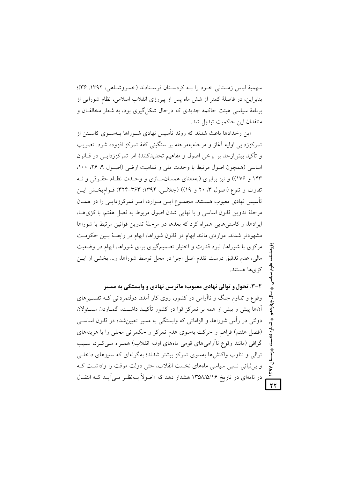سهميهٔ لباس زمستاني خـود را بـه کردسـتان فرسـتادند (خسروشـاهي، ١٣٩٢: ٣۶)؛ بنابراین، در فاصلهٔ کمتر از شش ماه پس از پیروزی انقلاب اسلامی، نظام شورایی از برنامهٔ سیاسی هیئت حاکمه جدیدی که درحال شکل گیری بود، به شعار مخالفـان و منتقدان این حاکمیت تبدیل شد.

این رخدادها باعث شدند که روند تأسیس نهادی شـوراها بـهسـوی کاسـتن از تمرکززدایی اولیه آغاز و مرحلهبهمرحله بر سنگینی کفهٔ تمرکز افزوده شود. تصویب و تأکید بیش|زحد بر برخی اصول و مفاهیم تحدیدکنندهٔ امر تمرکززدایــی در قــانون اساسی (همچون اصول مرتبط با وحدت ملی و تمامیت ارضی (اصول ۹، ۲۶، ۱۰۰، ۱۴۳ و ۱۷۶)) و نیز برابری (بهمعنای همسان سازی و وحـدت نظـام حقـوقی و نــه تفاوت و تنوع (اصول ٣، ٢٠ و ١٩)) (جلالبي، ١٣٩۴: ٣٢٣-٣٢٣) قـوامبخـش ايـن تأسیس نهادی معیوب هسـتند. مجمـوع ایـن مـوارد، امـر تمرکززدایـی را در همـان مرحلهٔ تدوین قانون اساسی و با نهایی شدن اصول مربوط به فصل هفتم، با کژیهـا، ایرادها، و کاستی هایی همراه کرد که بعدها در مرحلهٔ تدوین قوانین مرتبط با شوراها مشهودتر شدند. مواردی مانند ابهام در قانون شوراها، ابهام در رابطـهٔ بـین حکومـت مرکزی با شوراها، نبود قدرت و اختیار تصمیمگیری برای شوراها، ابهام در وضعیت مالي، عدم تدقيق درست تقدم اصل اجرا در محل توسط شوراها، و... بخشي از ايـن كژىها هستند.

۲-۳. تحول و توالي نهادي معيوب؛ ماتريس نهادي و وابستگي به مسير وقوع و تداوم جنگ و ناآرامی در کشور، روی کار آمدن دولتمردانی کـه تفسـیرهای آنها پیش و بیش از همه بر تمرکز قوا در کشور تأکیـد داشــت، گمــاردن مســئولان دولتی در رأس شوراها، و الزاماتی که وابستگی به مسیر تعیین شده در قانون اساسبی (فصل هفتم) فراهم و حرکت بهسوی عدم تمرکز و حکمرانی محلی را با هزینههای گزافی (مانند وقوع ناأرامیهای قومی ماههای اولیه انقلاب) همـراه مـیکـرد، سـبب توالی و تناوب واکنشها بهسوی تمرکز بیشتر شدند؛ بهگونهای که ستیزهای داخلبی و بی ثباتی نسبی سیاسی ماههای نخست انقلاب، حتی دولت موقت را واداشت ک در نامهای در تاریخ ۱۳۵۸/۵/۱۶ هشدار دهد که «اصولاً بــهنظـر مــی[یــد کــه انتقــال  $\overline{Y}$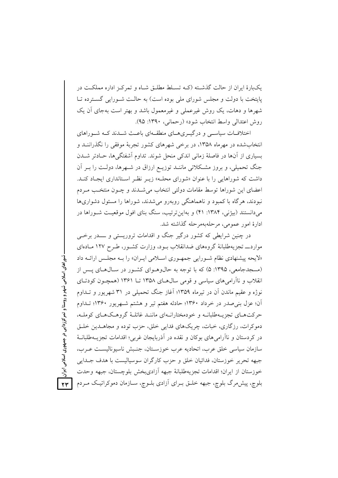یکبارهٔ ایران از حالت گذشته (کـه تسـلط مطلـق شـاه و تمرکـز اداره مملکـت در پایتخت با دولت و مجلس شورای ملی بوده است) به حالت شـورایی گسـترده تـا شهرها و دهات، یک روش غیرعملی و غیرمعمول باشد و بهتر است بهجای آن یک روش اعتدالي واسط انتخاب شود» (رحماني، ١٣٩٠: ٩٥).

اختلافــات سیاســـی و درگیـــریهـــای منطقـــهای باعــث شـــدند کـــه شـــوراهای انتخابشده در مهرماه ۱۳۵۸، در برخی شهرهای کشور تجربهٔ موفقی را نگذراننـد و بسیاری از آنها در فاصلهٔ زمانی اندکی منحل شوند. تداوم آشفتگیها، حـادتر شــدن جنگ تحمیلی، و بروز مشکلاتی ماننـد توزیـع ارزاق در شـهرها، دولـت را بـر آن داشت که شوراهایی را با عنوان «شورای محلـه» زیـر نظـر اسـتانداری ایجـاد کنـد. اعضای این شوراها توسط مقامات دولتی انتخاب می شــدند و چــون منتخـب مــردم نبودند، هرگاه با کمبود و ناهماهنگی روبهرو میشدند، شوراها را مسئول دشواریها میدانستند (بیژنی، ۱۳۸۴: ۴۱) و بهاین ترتیب، سنگ بنای افول موقعیت شـوراها در ادارهٔ امور عمومی، مرحلهبهم حله گذاشته شد.

در چنین شرایطی که کشور درگیر جنگ و اقدامات تروریستی و ـــدر برخـی مواردـــ تجزیهطلبانهٔ گروههای ضدانقلاب بــود، وزارت کشــور، طــرح ۱۲۷ مــادهای «لایحه پیشنهادی نظام شورایی جمهوری اسلامی ایـران» را بـه مجلـس ارائـه داد (مسجدجامعی، ۱۳۹۵: ۵) که با توجه به حال وهـوای کشـور در سـالهـای پـس از انقلاب و ناآرامیهای سیاسی و قومی سال های ۱۳۵۸ تا ۱۳۶۱ (همچون کودتای نوژه و عقیم ماندن آن در تیرماه ۱۳۵۹؛ آغاز جنگ تحمیلی در ۳۱ شهریور و تــداوم آن؛ عزل بنی صدر در خرداد ۱۳۶۰؛ حادثه هفتم تیر و هشتم شـهریور ۱۳۶۰؛ تـداوم حرکتهای تجزیـهطلبانــه و خودمختارانــهای ماننــد غائلــهٔ گروهــکمـای کوملــه، دموکرات، رزگاری، خبات، چریکهای فدایی خلق، حزب توده و مجاهـدین خلـق در کردستان و ناآرامی های بوکان و نقده در آذربایجان غربی؛ اقدامات تجزیــهطلبانــهٔ سازمان سياسي خلق عرب، اتحاديه عرب خوزسـتان، جنـبش ناسيوناليسـت عـرب، جبهه تحرير خوزستان، فدائيان خلق و حزب كارگران سوسياليست با هدف جــدايي خوزستان از ايران؛ اقدامات تجزيهطلبانة جبهه آزاديبخش بلوچستان، جبهه وحدت بلوچ، پیش مرگ بلوچ، جبهه خلـق بـرای آزادی بلـوچ، سـازمان دموکراتیـک مـردم

شوراهای اسلامی شهر و روستا و تمرکززدایی در جمهوری اسلامی ایران  $YY$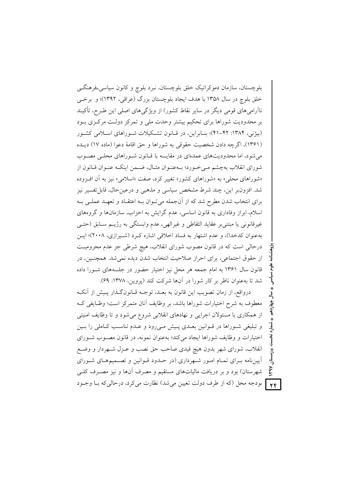بلوچستان، سازمان دموکراتیک خلق بلوچستان، نبرد بلوچ و کانون سیاسی فرهنگی خلق بلوچ در سال ۱۳۵۸ با هدف ایجاد بلوچستان بزرگ (عراقی، ۱۳۹۲)؛ و برخبی ناأرامیهای قومی دیگر در سایر نقاط کشور) از ویژگیهای اصلی این طـرح، تأکیــد بر محدودیت شوراها برای تحکیم بیشتر وحدت ملی و تمرکز دولت مرکزی بود (بیژنی، ۱۳۸۴: ۴۲–۴۱)؛ بنـابراین، در قـانون تشـکیلات شـوراهای اسـلامی کشـور (۱۳۶۱)، اگرچه دادن شخصیت حقوقی به شوراها و حق اقامهٔ دعوا (ماده ۱۷) دیـده می شود، اما محدودیتهای عمدهای در مقایسه با قبانون شوراهای محلبی مصوب شورای انقلاب بهچشم مـی خـورد؛ بـهعنـوان مثـال، ضـمن اینکـه عنـوان قـانون از «شوراهای محلی» به «شوراهای کشور» تغییر کرد، صفت «اسلامی» نیز به آن اف وده شد. افزون٫بر این، چند شرط مشخص سیاسی و مذهبی و درعینحال، قابل تفسیر نیز برای انتخاب شدن مطرح شد که از آنجمله میتوان بـه اعتقـاد و تعهـد عملـی بـه اسلام، ابراز وفاداری به قانون اساسی، عدم گرایش به احزاب، سازمانها و گروههای غيرقانوني يا مبتنىبر عقايد التقاطي و غيرالهي، عدم وابستگي به رژيــم ســابق (حتــي بهعنوان كدخدا)، و عدم اشتهار به فساد اخلاقی اشاره كرد (شيرازي، ۲۰۰۸)؛ ايس درحالي است كه در قانون مصوب شوراي انقلاب، هيچ شرطي جز عدم محروميت از حقوق اجتماعی، برای احراز صلاحیت انتخاب شدن دیده نمی شد. همچنـین، در قانون سال ۱۳۶۱ به امام جمعه هر محل نیز اختیار حضور در جلسههای شـورا داده شد تا به عنوان ناظر بر کار شورا در آنها شرکت کند (پروین، ۱۳۷۸: ۶۹).

درواقع، از زمان تصويب اين قانون به بعـد، توجــه قــانون گــذار پــيش از آنكــه معطوف به شرح اختیارات شوراها باشد، بر وظایف آنان متمرکز است؛ وظـایفی کـه از همکاری با مسئولان اجرایی و نهادهای انقلابی شروع می شود و تا وظایف امنیتی و تبلیغی شـوراها در قـوانین بعـدی پـیش مـیرود و عـدم تناسـب کـاملی را بـین اختیارات و وظایف شوراها ایجاد میکند؛ بهعنوان نمونه، در قانون مصوب شورای انقلاب، شوراي شهر بدون هيچ قيدي صاحب حق نصب و عـزل شـهردار و وضـع آییننامه بـرای تمـام امـور شـهرداری (در حـدود قـوانین و تصـمیمهـای شـورای شهرستان) بود و بر دریافت مالیاتهای مستقیم و مصرف آنها و نیز مصـرف کلـی بودجه محل (كه از طرف دولت تعيين مي شد) نظارت مي كرد، درحالي كه بـا وجــود

 $Y \in$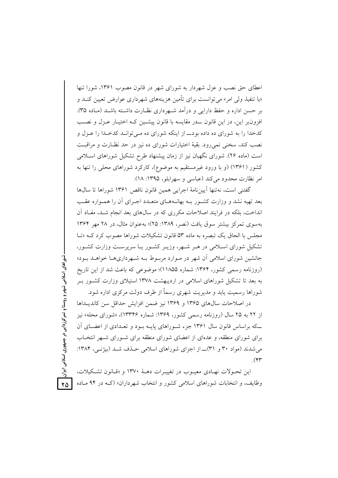اعطای حق نصب و عزل شهردار به شورای شهر در قانون مصوب ۱۳۶۱، شورا تنها «با تنفیذ ولی امر» می توانست برای تأمین هزینههای شهرداری عوارض تعیین کنــد و بر حسن اداره و حفظ دارایی و درآمد شـهرداری نظـارت داشـته باشـد (مـاده ۳۵). افزون بر این، در این قانون حدر مقایسه با قانون پیشین کیه اختیار عبزل و نصب کدخدا را به شورای ده داده بود\_ از اینکه شورای ده مـی توانـد کدخـدا را عـزل و نصب کند، سخنی نمی رود. بقیهٔ اختیارات شورای ده نیز در حد نظـارت و مراقبـت است (ماده ۲۶). شورای نگهبان نیز از زمان پیشنهاد طرح تشکیل شوراهای اسـلامی کشور (۱۳۶۱) (و با ورود غیرمستقیم به موضوع)، کارکرد شوراهای محلی را تنها به امر نظارت محدود می کند (عباسی و سهرابلو، ۱۳۹۵: ۱۸).

گفتنی است، نەتنھا آپینiامهٔ اجرابی همین قانون ناقص ۱۳۶۱ شوراها تا سالαا بعد تهیه نشد و وزارت کشـور بــه بهانــههــای متعــدد اجــرای أن را همــواره عقــب انداخت، بلکه در فرایند اصلاحات مکرری که در سال های بعد انجام شـد، مفـاد آن به سوی تمرکز بیشتر سوق یافت (نصر، ۱۳۸۹: ۲۵)؛ به عنوان مثال، در ۲۸ مهر ۱۳۶۴ مجلس با الحاق یک تبصره به ماده ۵۳ قانون تشکیلات شوراها مصوب کرد کـه «تـا تشکیل شورای اسـلامی در هـر شـهر، وزیـر کشـور یـا سرپرسـت وزارت کشـور، جانشین شورای اسلامی آن شهر در مـوارد مربـوط بـه شـهرداریهـا خواهــد بـود» (روزنامه رسمی کشور، ۱۳۶۴: شماره ۱۱۸۵۵)؛ موضوعی که باعث شد از این تاریخ به بعد تا تشکیل شوراهای اسلامی در اردیبهشت ۱۳۷۸ استیلای وزارت کشــور بــر شوراها رسمیت یابد و مدیریت شهری رسماً از طرف دولت مرکزی اداره شود.

در اصلاحات سال های ۱۳۶۵ و ۱۳۶۹ نیز ضمن افزایش حداقل سن کاندیـداها از ۲۲ به ۲۵ سال (روزنامه رسمی کشور، ۱۳۶۹: شماره ۱۳۳۴۶)، «شورای محله» نیز که براساس قانون سال ۱۳۶۱ جزء شـوراهای پایـه پود و تعبدادی از اعضبای آن برای شورای منطقه، و عدهای از اعضای شورای منطقه برای شـورای شـهر انتخـاب می شدند (مواد ۳۰ و ۳۱)ــ از اجزای شوراهای اسلامی حـذف شـد (بیژنـی، ۱۳۸۴:  $\mathcal{M}$ 

شوراهای اسلامی شهر و روستا و تمرکز زدایی در جمهوری اسلامی ایران

 $\mathsf{Y}\Delta$ 

این تحـولات نهـادی معیـوب در تغییـرات دهـهٔ ۱۳۷۰ و «قـانون تشـكیلات، وظایف، و انتخابات شوراهای اسلامی کشور و انتخاب شهرداران» (کـه در ۹۴ مـاده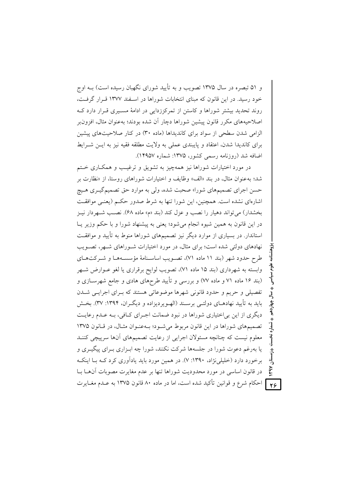و ۵۱ تبصره در سال ۱۳۷۵ تصویب و به تأیید شورای نگهبان رسیده است) بــه اوج خود رسید. در این قانون که مبنای انتخابات شوراها در اسـفند ۱۳۷۷ قـرار گرفـت، روند تحدید بیشتر شوراها و کاستن از تمرکززدایی در ادامهٔ مسـیری قـرار دارد کـه اصلاحیههای مکرر قانون پیشین شوراها دچار آن شده بودند؛ بهعنوان مثال، افزون الزامی شدن سطحی از سواد برای کاندیداها (ماده ۳۰) در کنار صلاحیتهای پیشین برای کاندیدا شدن، اعتقاد و پایبندی عملی به ولایت مطلقه فقیه نیز به ایـن شـرایط اضافه شد (روزنامه رسمی کشور، ۱۳۷۵: شماره ۱۴۹۵۷).

در مورد اختیارات شوراها نیز همهچیز به تشویق و ترغیب و همکـاری خـتم شد؛ به عنوان مثال، در بند «الف» وظایف و اختیارات شوراهای روستا، از «نظارت بر حسن اجرای تصمیمهای شورا» صحبت شده، ولی به موارد حق تصمیمگیـری هـیج اشارهای نشده است. همچنین، این شورا تنها به شرط صدور حکم (یعنبی موافقت بخشدار) می تواند دهیار را نصب و عزل کند (بند «م» ماده ۶۸). نصب شـهردار نیـز در این قانون به همین شیوه انجام می شود؛ یعنی به پیشنهاد شورا و با حکم وزیر یـا استاندار. در بسیاری از موارد دیگر نیز تصمیمهای شوراها منوط به تأیید و موافقت نهادهای دولتی شده است؛ برای مثال، در مورد اختیارات شـوراهای شـهر، تصـویب طرح حدود شهر (بند ١١ ماده ٧١)، تصويب اساسـنامهٔ مؤسسـههـا و شـركتهـاي وابسته به شهرداری (بند ۱۵ ماده ۷۱)، تصویب لوایح برقراری یا لغو عـوارض شـهر (بند ۱۶ ماده ۷۱ و ماده ۷۷) و بررسی و تأیید طرحهای هادی و جامع شهرسـازی و تفصیلی و حریم و حدود قانونی شهرها موضوعاتی هستند که بـرای اجرایـی شــدن باید به تأیید نهادهـای دولتـی برسـند (الهـویردیزاده و دیگـران، ۱۳۹۴: ۳۷). بخـش دیگری از این بی|ختیاری شوراها در نبود ضمانت اجـرای کـافی، بـه عـدم رعایـت تصمیمهای شوراها در این قانون مربوط می شود؛ به عنوان مثال، در قانون ١٣٧٥ معلوم نیست که چنانچه مسئولان اجرایی از رعایت تصمیمهای آنها سرپیچی کننـد یا بهرغم دعوت شورا در جلسهها شرکت نکنند، شورا چه ابـزاری بـرای پیگیـری و برخورد دارد (خلیلی نژاد، ۱۳۹۰: ۷). در همین مورد باید یادآوری کرد کـه بـا اینکـه در قانون اساسی در مورد محدودیت شوراها تنها بر عدم مغایرت مصوبات آنها بـا ] احکام شرع و قوانین تأکید شده است، اما در ماده ۸۰ قانون ۱۳۷۵ به عـدم مغـایرت

 $Y\zeta$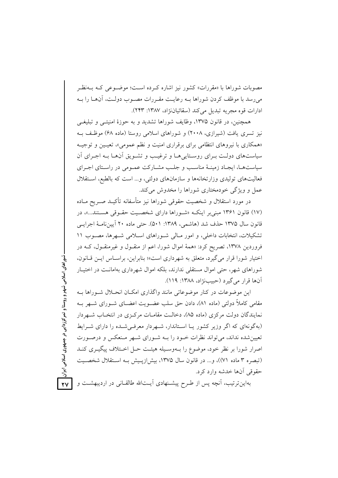مصوبات شوراها با «مقررات» کشور نیز اشاره کرده است؛ موضـوعی کـه بــهنظـر میرسد با موظف کردن شوراها بـه رعایـت مقـررات مصـوب دولـت، آنهــا را بـه ادارات قوه مجريه تبديل مي كند (سقائياننزاد، ١٣٨٧: ٢۴٣).

همچنین، در قانون ۱۳۷۵، وظایف شوراها تشدید و به حوزهٔ امنیتبی و تبلیغبی نیز تسری یافت (شیرازی، ۲۰۰۸) و شوراهای اسلامی روستا (ماده ۶۸) موظف ب «همکاری با نیروهای انتظامی برای برقراری امنیت و نظم عمومی»، تعیـین و توجیـه سیاستهای دولت بـرای روسـتاییهـا و ترغیـب و تشـویق آنهـا بـه اجـرای آن سیاستها، ایجاد زمینـهٔ مناسـب و جلـب مشـارکت عمـومی در راسـتای اجـرای فعالیتهای تولیدی وزارتخانهها و سازمانهای دولتی، و... است که بالطبع، استقلال عمل و ویژگی خودمختاری شوراها را مخدوش می کند.

در مورد استقلال و شخصیت حقوقی شوراها نیز متأسفانه تأکیــد صــریح مــاده (١٧) قانون ١٣۶١ مبني بر اينكـه «شـوراها داراي شخصـيت حقـوقى هسـتند...»، در قانون سال ۱۳۷۵ حذف شد (هاشمی، ۱۳۸۹: ۵۰۱). حتی ماده ۲۰ آیین نامـهٔ اجرایـی تشکیلات، انتخابات داخلی، و امور مـالی شـوراهای اسـلامی شـهرها، مصـوب ١١ فروردین ۱۳۷۸، تصریح کرد: «همهٔ اموال شورا، اعم از منقـول و غیرمنقـول، کــه در اختيار شورا قرار مي گيرد، متعلق به شهرداري است»؛ بنابراين، براسـاس ايـن قـانون، شوراهای شهر، حتی اموال مستقلی ندارند، بلکه اموال شهرداری بهامانـت در اختیـار آنها قرار مي گيرد (حبيبنژاد، ١٣٨٨: ١١٩).

این موضوعات در کنار موضوعاتی مانند واگذاری امکـان انحــلال شــوراها بــه مقامی کاملاً دولتی (ماده ۸۱)، دادن حق سلب عضـویت اعضـای شـورای شـهر بـه نمایندگان دولت مرکزی (ماده ۸۵)، دخالت مقامـات مرکـزی در انتخـاب شـهردار (به گونهای که اگر وزیر کشور پیا استاندار، شبهردار معرفی شیده را دارای شیرابط تعیین شده نداند، می تواند نظرات خـود را بــه شـورای شــهر مـنعکس و درصــورت اصرار شورا بر نظر خود، موضوع را بـهوسـيله هيئـت حـل اخـتلاف پيگيــرى كنــد (تبصره ٣ ماده ٧١))، و... در قانون سال ١٣٧۵، بيش[زيـيش بـه اسـتقلال شخصـيت حقوقي آنها خدشه وارد كرد.

شوراهای اسلامی شهر و روستا و تمرکز زدایی در جمهوری اسلامی ایران

 $\overline{Y}$ بهاین ترتیب، آنچه پس از طـرِح پیشـنهادی آیــتالله طالقــانی در اردیبهشــت و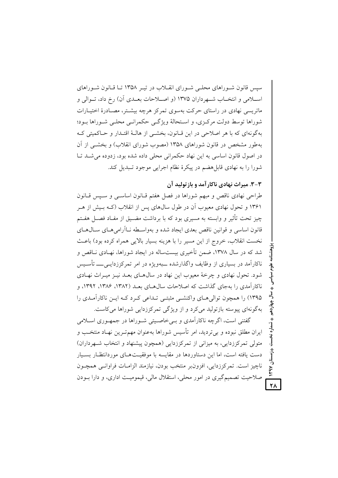سپس قانون شـوراهای محلـی شـورای انقـلاب در تيـر ١٣۵٨ تـا قـانون شـوراهای اسلامی و انتخـاب شــهرداران ۱۳۷۵ (و اصــلاحات بعــدی آن) رخ داد، تــوالی و ماتریسی نهادی در راستای حرکت بهسوی تمرکز هرچه بیشتر، مصـادرهٔ اختیـارات شوراها توسط دولت مرکبزی، و استحالهٔ ویژگی حکمرانبی محلبی شیوراها بیود؛ بهگونهای که با هر اصلاحی در این قبانون، بخشبی از هالبهٔ اقتبدار و حیاکمیتی ک به طور مشخص در قانون شوراهای ۱۳۵۸ (مصوب شورای انقلاب) و بخشبی از آن در اصول قانون اساسی به این نهاد حکمرانی محلی داده شده بود، زدوده می شـد تـا شورا را به نهادی قابل هضم در پیکرهٔ نظام اجرایی موجود تـبدیل کند.

۳–۳. میراث نهادی ناکار آمد و باز تولید آن

طراحی نهادی ناقص و مبهم شوراها در فصل هفتم قبانون اساسبی و سبس قبانون ۱۳۶۱ و تحول نهادی معیوب آن در طول سالهای پس از انقلاب (کــه بــیش از هــر چیز تحت تأثیر و وابسته به مسیری بود که با برداشت مضــیق از مفـاد فصــل هفـتم قانون اساسی و قوانین ناقص بعدی ایجاد شده و بهواسـطه نــاآرامی۵هـای ســال۱هـای نخست انقلاب، خروج از این مسیر را با هزینه بسیار بالایی همراه کرده بود) باعث شد که در سال ۱۳۷۸، ضمن تأخیری بیستساله در ایجاد شوراها، نهـادی نــاقص و ناکارآمد در بسیاری از وظایف واگذارشده ــبهویژه در امر تمرکززدایــی\_ـــ تأسـیس شود. تحول نهادی و چرخهٔ معیوب این نهاد در سال هـای بعـد نیـز میـراث نهـادی ناکارآمدی را بهجای گذاشت که اصلاحات سال۱۳۵ بعـد (۱۳۸۲، ۱۳۸۶، ۱۳۹۲، د ۱۳۹۵) را همچون توالی هبای واکنشبی مثبتبی تبداعی کبرد کبه این ناکارآمیدی را بهگونهای پیوسته بازتولید می کرد و از ویژگی تمرکززدایی شوراها می کاست.

گفتنی است، اگرچه ناکارآمدی و بـی خاصـیتی شـوراها در جمهـوری اسـلامی ایران مطلق نبوده و پی تردید، امر تأسیس شوراها بهعنوان مهمت بین نهـاد منتخـب و متولَّى تمركززدايي، به ميزاني از تمركززدايي (همچون پيشنهاد و انتخاب شـهرداران) دست یافته است، اما این دستاوردها در مقایسه با موفقیتهای موردانتظار بسـیار ناچيز است. تمركززدايي، افزون بر منتخب بودن، نيازمند الزامـات فراوانـي همچـون صلاحیت تصمیمگیری در امور محلی، استقلال مالی، قیمومیـت اداری، و دارا بــودن

 $\overline{Y}$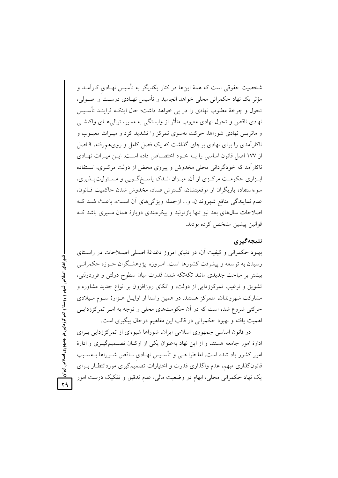شخصیت حقوقی است که همهٔ اینها در کنار یکدیگر به تأسیس نهـادی کارآمـد و مؤثر یک نهاد حکمرانی محلی خواهد انجامید و تأسیس نهـادی درسـت و اصـولی، تحول و چرخهٔ مطلوب نهادی را در پی خواهد داشت؛ حال اینکـه فراینـد تأسـیس نهادی ناقص و تحول نهادی معیوب متأثر از وابستگی به مسیر، توالی هـای واکنشــی و ماتریس نهادی شوراها، حرکت بهسوی تمرکز را تشدید کرد و میـراث معیـوب و ناکارآمدی را برای نهادی برجای گذاشت که یک فصل کامل و رویهمروفته، ۹ اصل از ۱۷۷ اصل قانون اساسی را بـه خـود اختصـاص داده اسـت. ایــن میـراث نهـادی ناکارآمد که خودگردانی محلی مخدوش و پیروی محض از دولت مرکـزی، اسـتفاده ابـزاري حكومــت مركــزي از آن، ميــزان انــدك پاســخ گــويي و مســئوليتپــذيري، سوءاستفاده بازیگران از موقعیتشان، گسترش فساد، مخدوش شدن حاکمیت قـانون، عدم نمايندگي منافع شهروندان، و... ازجمله ويژگيهاي آن است، باعث شـد كـه اصلاحات سالهای بعد نیز تنها بازتولید و پیکرهبندی دوبارهٔ همان مسیری باشد ک قوانين پيشين مشخص كرده بودند.

### نتيجەگيرى

بهبود حکمرانی و کیفیت آن، در دنیای امروز دغدغهٔ اصلی اصلاحات در راستای رسیدن به توسعه و پیشرفت کشورها است. امـروزه پژوهشـگران حـوزه حکمرانـی بیشتر بر مباحث جدیدی مانند تکهتکه شدن قدرت میان سطوح دولتی و فرودولتی، تشویق و ترغیب تمرکززدایی از دولت، و اتکای روزافزون بر انواع جدید مشاوره و مشارکت شهروندان، متمرکز هستند. در همین راستا از اوایـل هـزارهٔ سـوم مـیلادی حرکتی شروع شده است که در آن حکومتهای محلی و توجه به امـر تمرکززدایـی اهميت يافته و بهبود حكمراني در قالب اين مفاهيم درحال پيگيري است.

در قانون اساسی جمهوری اسلامی ایران، شوراها شیوهای از تمرکززدایی بـرای ادارهٔ امور جامعه هستند و از این نهاد بهعنوان یکی از ارکان تصـمیمگیـری و ادارهٔ امور کشور یاد شده است، اما طراحـی و تأسـیس نهـادی نــاقص شــوراها بــهســبب قانون گذاری مبهم، عدم واگذاری قدرت و اختیارات تصمیم گیری موردانتظـار بـرای یک نهاد حکمرانی محلی، ابهام در وضعیت مالی، عدم تدقیق و تفکیک درست امور

شوراهای اسلامی شهر و روستا و تمرکززدایی در جمهوری اسلامی ایران <mark>ک</mark>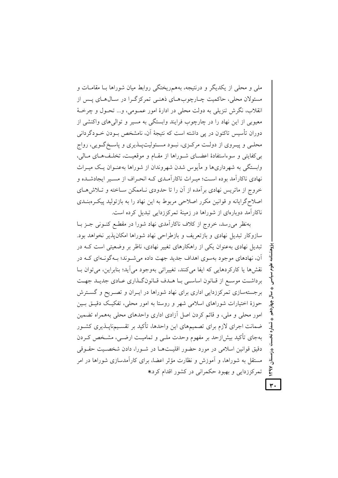ملی و محلی از یکدیگر و درنتیجه، بههمریختگی روابط میان شوراها بـا مقامـات و مسئولان محلي، حاكميت چـارچوبهـاي ذهنـي تمركزگـرا در سـالهـاي يـس از انقلاب، نگرش تنزیلی به دولت محلی در ادارهٔ امور عمــومی، و… تحــول و چرخــهٔ معبوبی از این نهاد را در چارچوب فرایند وابستگی به مسیر و توالی های واکنشی از دوران تأسیس تاکنون در پی داشته است که نتیجهٔ آن، نامشخص بودن خـودگردانی محلــي و پيــروي از دولــت مركــزي، نبــود مســئوليتپــذيري و پاســخ گــويي، رواج بر كفايتي و سوءاستفادهٔ اعضـاي شـوراها از مقـام و موقعيـت، تخلـفهـاي مـالي، وابستگی به شهرداریها و مأیوس شدن شهروندان از شوراها بهعنــوان یــک میــراث نهادی ناکارآمد بوده است؛ میـراث ناکارآمـدی کـه انحـراف از مسـير ايجادشـده و خروج از ماتریس نهادی برآمده از آن را تا حدودی نـاممکن سـاخته و تـلاش۵هـای اصلاح گرایانه و قوانین مکرر اصلاحی مربوط به این نهاد را به بازتولید پیک وبنــدی ناکارآمد دوبارهای از شوراها در زمینهٔ تمرکززدایی تبدیل کرده است.

بهنظر می رسد، خروج از کلاف ناکارآمدی نهاد شورا در مقطع کنـونی جـز بـا سازوکار تبدیل نهادی و بازتعریف و بازطراحی نهاد شوراها امکان پذیر نخواهد بود. تبدیل نهادی بهعنوان یکی از راهکارهای تغییر نهادی، ناظر بر وضعیتی است کـه در آن، نهادهای موجود بهسوی اهداف جدید جهت داده می شوند؛ بـهگونـهای کـه در نقشها يا كاركردهايي كه ايفا ميكنند، تغييراتي بهوجود مي آيد؛ بنابراين، مي توان بـا برداشت موسع از قـانون اساسـي بـا هـدف قـانونگـذاري عـادي جديـد جهـت برجستهسازی تمرکززدایی اداری برای نهاد شوراها در ایـران و تصـریح و گسـترش حوزهٔ اختیارات شوراهای اسلامی شهر و روستا به امور محلی، تفکیک دقیـق بـین امور محلی و ملی، و قائم کردن اصل آزادی اداری واحدهای محلی بههمراه تضمین ضمانت اجرای لازم برای تصمیمهای این واحدها، تأکید بر تقسـیمنایــذیری کشــور بهجای تأکید بیش|زحد بر مفهوم وحدت ملـی و تمامیـت ارضــی، مشـخص کــردن دقيق قوانين اسلامي در مورد حضور اقليتها در شـورا، دادن شخصـيت حقـوقي مستقل به شوراها، و اَموزش و نظارت مؤثر اعضا، برای کاراَمدسازی شوراها در امر تمرکز زدایی و بهبود حکمرانی در کشور اقدام کرد.\*

**Nhh**  $\overline{r}$ .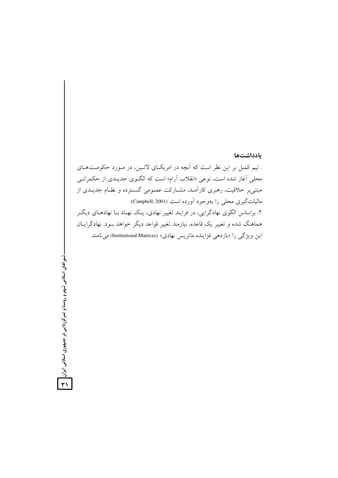### بادداشتها

. تیم کمبل بر این نظر است که آنچه در امریکای لاتـین، در مـورد حکومـتهـای محلی آغاز شده است، نوعی «انقلاب آرام» است که الگـوی جدیـدی از حکمرانــی مبتنی بر خلاقیت، رهبری کارآمد، مشـارکت عمـومی گسـترده و نظـام جدیـدی از ماليات گيري محلي را بهوجود آورده است (Campbell, 2001). ۲. براساس الگوی نهادگرایی، در فرایند تغییر نهادی، یک نهـاد بـا نهادهـای دیگـر هماهنگ شده و تغییر یک قاعده، نیازمند تغییر قواعد دیگر خواهد بــود. نهادگرایــان این ویژگی را «بازدهی فزاینده ماتریس نهادی» (Institutional Matrices) می نامند.

-شوراهای اسلامی شهر و روستا و تمرکززدایی در جمهوری اسلامی ایران <mark>گ</mark>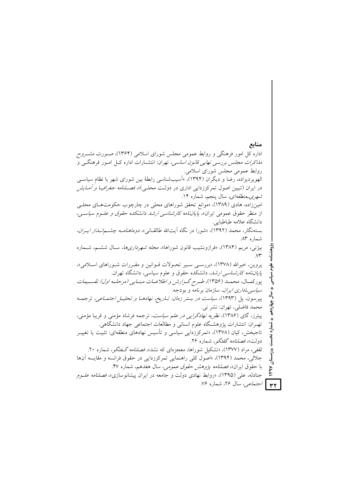منابع اداره کل امور فرهنگی و روابط عمومی مجلس شورای اسلامی (۱۳۶۴)، ص*ـورت مشـروح مذاکرات مجلس بررسی نهایی قانون اساسی*، تهران: انتشــارات اداره کــل امــور فرهنگــی و روابط عمومی مجلس شورای اسلامی. الهویردیزاده، رضا و دیگران (۱۳۹۴)، «اَسیبشناسی رابطهٔ بین شورای شهر با نظام سیاسی در ایران (تبیین اصول تمرکززدایی اداری در دولـت محلـی)»، *فصــلنامه جغرافیــا و أمــایش شهری۔منطقهای،* سال پنجم، شماره ۱۴. امینزاده، هادی (۱۳۸۹)، «موانع تحقق شوراهای محلی در چارچوب حکومتهـای محلــی از منظر حقوق عمومی ایران»، *پایاننامه کارشناسی ارشد دانشکده حقوق و علـوم سیاسـی*، دانشگاه علامه طباطبایی. بستهنگار، محمد (۱۳۹۲)، «شورا در نگاه آیتالله طالقـانی»، *دوماهنامـه چشــمانـداز ایـران*، شماره ۸۳ بیژنی، مریم (۱۳۸۴)، «فرازونشیب قانون شوراها»، *مجله شهرداریها*، سـال ششـم، شــماره  $\vee \tau$ پروین، خیرالله (۱۳۷۸)، «بررسـی سـیر تحـولات قـوانین و مقـررات شـوراهای اسـلامی»، *پایاننامه کارشناسی ارشد*، دانشکده حقوق و علوم سیاسی، دانشگاه تهران. سياسى پورکمـال، محمـد (۱۳۵۶)، طـرح گـزارش و اطلاعـات مبنـايي (مرحلـه اول) تقسـيمات *سیاسی ـاداری ایران*، سازمان برنامه و بودجه. ئىل پیرسون، پل (۱۳۹۳)، *سیاست در بستر زمان: تـاریخ، نهادهـا و تحلیـل اجتمـاعی*، ترجمـه چهاردهم محمد فاضلي، تهران: نشر ني. پیترز، گای (۱۳۸۶)، *نظریه نهادگرایی در علم سیاست*، ترجمه فرشاد مؤمنی و فریبا مؤمنی، تهـران: انتشارات پژوهشـگاه علوم انسانی و مطالعات اجتماعی جهاد دانشگاهی. شماره تاجبخش، کیان (۱۳۷۸)، «تمرکززدایی سیاسی و تأسیس نهادهای منطقهای: تثبیت یا تغییــر دولت»، *فصلنامه گفتگو*، شماره ۲۶. ثقفی، مراد (۱۳۷۷)، «تشکیل شوراها، معجزِهای که نشد»، *فصلنامه گـفتگو*، شماره ۲۰. جلالی، محمد (۱۳۹۴)، «اصول کلی راهنمایی تمرکززدایی در حقوق فرانسه و مقایسه آنها با حقوق ايران»، *فصلنامه پژوهش حقوق عمومی،* سال هفدهم، شماره ۴۷. جنادله، علمی (۱۳۹۵)، «روابط نهادی دولت و جامعه در ایران پیشانوسازی»، *فصلنامه علـوم* **۳۲ |** /جتم*اعی، سال ۲۶، شما*ره ۷۶.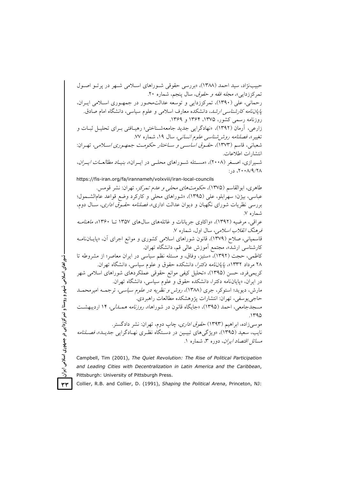حبیب نژاد، سید احمد (۱۳۸۸)، «بررسی حقوقی شـوراهای اسـلامی شـهر در پرتو اصـول تمرکززدایی»، *مجله فقه و حقوق*، سال پنجم، شماره ۲۰. رحمانی، علی (۱۳۹۰)، تمرکززدایی و توسعه عدالت محبور در جمهوری اسلامی ایبران، *یایاننامه کارشناسی ارشد*، دانشکده معارف اسلامی و علوم سیاسی، دانشگاه امام صادق. روزنامه رسمی کشور، ۱۳۷۵، ۱۳۶۴ و ۱۳۶۹. زارعی، آرمان (۱۳۹۲)، «نهادگرایی جدید جامعهشـناختی؛ رهیـافتی بـرای تحلیـل ثبـات و تغییر»، فصلنامه روشرشناسبی علوم *انسانبی،* سال ۱۹، شماره ۷۷. شعباني، قاسم (١٣٧٣)، *حقـوق اساسـي و سـاختار حكومـت جمهـوري اسـلامي*، تهـران: انتشارات اطلاعات. شمیرازی، اصغر (۲۰۰۸)، «مسئله شوراهای محلبی در ایسران»، *بنیاد مطالعات ایسران*،  $\therefore$  ۲۰۰۸/۹/۲۸ https://fis-iran.org/fa/irannameh/volxviii/iran-local-councils طاهري، ابوالقاسم (١٣٧۵)، حكومت *هاي محلي و عدم تمركز*، تهران: نشر قومس. عباسي، بيژن؛ سهرابلو، على (١٣٩٥)، «شوراهاي محلي و كاركرد وضع قواعد عامالشـمول؛ بررسی نظریات شورای نگهبان و دیوان عدالت اداری»، *فصلنامه حقوق اداری*، سـال دوم، شماره ۷. عراقي، مرضيه (١٣٩٢)، «واكاوي جريانات و غائلههاي سال هاي ١٣۵٧ تــا ١٣۶٠»، م*اهنامـه* فرهنگ *انقلاب اسلامی،* سال اول، شماره ۷. قاسمیانی، صلاح (۱۳۷۹)، قانون شوراهای اسلامی کشوری و موانع اجرای آن، «پایـانiامـه كارشناسي ارشد»، مجتمع أموزش عالي قم، دانشگاه تهران. کاظمی، حجت (۱۳۹۲)، «ستیز، وفاق، و مسئله نظم سیاسی در ایران معاصر؛ از مشروطه تا ۲۸ مرداد ۱۳۳۲»، *پایاننامه دکترا*، دانشکده حقوق و علوم سیاسی، دانشگاه تهران. کریمیفرد، حسن (۱۳۹۵)، «تحلیل کیفی موانع حقوقی عملکردهای شوراهای اسلامی شهر در ايران، «پاياننامه دكترا، دانشكده حقوق و علوم سياسي، دانشگاه تهران. مارش، دیوید؛ استوکر، جری (۱۳۸۸)، *روش و نظریه در علوم سیاسی،* ترجمـه امیرمحمــد حاجي يوسفي، تهران: انتشارات پژوهشكده مطالعات راهبردي. مسجدجامعي، احمد (١٣٩۵)، «جايگاه قانون در شوراها»، *روزنامه همـــالي،* ١۴ ارديبهشــت  $1490$ موسیزاده، ابراهیم (۱۳۹۳) *حقوق اداری*، چاپ دوم، تهران: نشر دادگستر. نايب، سعيد (١٣٩۵)، «ويژگي هاي تبيين در دستگاه نظـري نهـادگرايي جديـد»، *فصـلنامه* مسائل اقتصاد ایران، دوره ۳، شعاره ۱.

Campbell, Tim (2001), The Quiet Revolution: The Rise of Political Participation and Leading Cities with Decentralization in Latin America and the Caribbean, Pittsburgh: University of Pittsburgh Press.

Collier, R.B. and Collier, D. (1991), Shaping the Political Arena, Princeton, NJ:

شوراهای اسلامی شهر و روستا و تمرکززدایی در جمهوری اسلامی ایران  $YY$